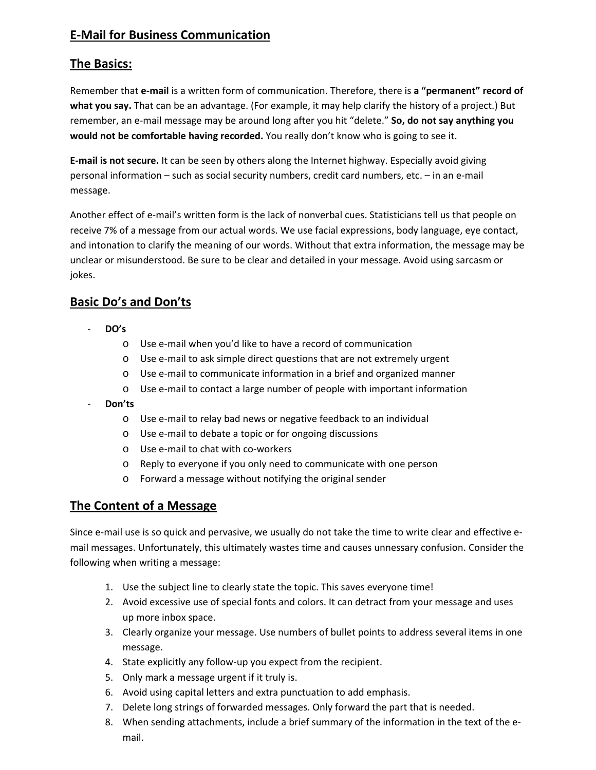# **E‐Mail for Business Communication**

## **The Basics:**

Remember that **e‐mail** is a written form of communication. Therefore, there is **a "permanent" record of what you say.** That can be an advantage. (For example, it may help clarify the history of a project.) But remember, an e‐mail message may be around long after you hit "delete." **So, do not say anything you would not be comfortable having recorded.** You really don't know who is going to see it.

**E‐mail is not secure.** It can be seen by others along the Internet highway. Especially avoid giving personal information – such as social security numbers, credit card numbers, etc. – in an e‐mail message.

Another effect of e‐mail's written form is the lack of nonverbal cues. Statisticians tell us that people on receive 7% of a message from our actual words. We use facial expressions, body language, eye contact, and intonation to clarify the meaning of our words. Without that extra information, the message may be unclear or misunderstood. Be sure to be clear and detailed in your message. Avoid using sarcasm or jokes.

# **Basic Do's and Don'ts**

- ‐ **DO's**
	- o Use e‐mail when you'd like to have a record of communication
	- o Use e‐mail to ask simple direct questions that are not extremely urgent
	- o Use e‐mail to communicate information in a brief and organized manner
	- o Use e‐mail to contact a large number of people with important information
- ‐ **Don'ts**
	- o Use e‐mail to relay bad news or negative feedback to an individual
	- o Use e‐mail to debate a topic or for ongoing discussions
	- o Use e‐mail to chat with co‐workers
	- o Reply to everyone if you only need to communicate with one person
	- o Forward a message without notifying the original sender

## **The Content of a Message**

Since e-mail use is so quick and pervasive, we usually do not take the time to write clear and effective email messages. Unfortunately, this ultimately wastes time and causes unnessary confusion. Consider the following when writing a message:

- 1. Use the subject line to clearly state the topic. This saves everyone time!
- 2. Avoid excessive use of special fonts and colors. It can detract from your message and uses up more inbox space.
- 3. Clearly organize your message. Use numbers of bullet points to address several items in one message.
- 4. State explicitly any follow-up you expect from the recipient.
- 5. Only mark a message urgent if it truly is.
- 6. Avoid using capital letters and extra punctuation to add emphasis.
- 7. Delete long strings of forwarded messages. Only forward the part that is needed.
- 8. When sending attachments, include a brief summary of the information in the text of the email.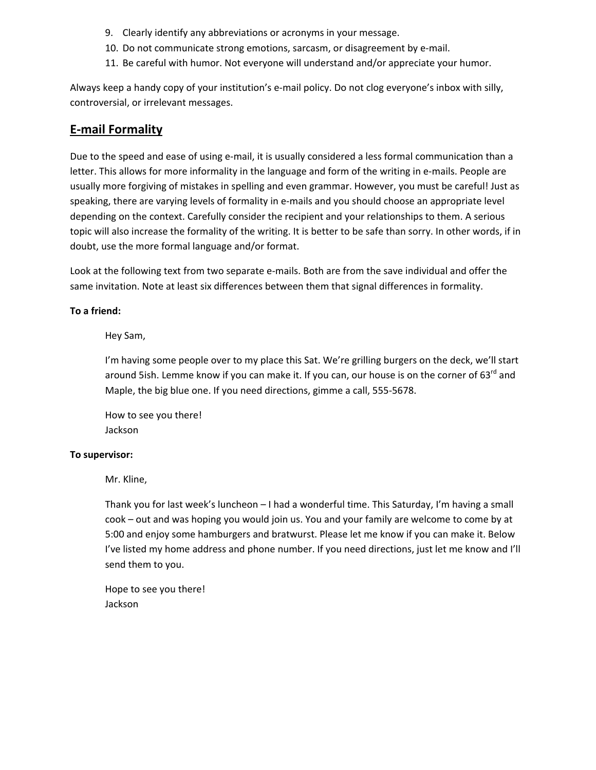- 9. Clearly identify any abbreviations or acronyms in your message.
- 10. Do not communicate strong emotions, sarcasm, or disagreement by e-mail.
- 11. Be careful with humor. Not everyone will understand and/or appreciate your humor.

Always keep a handy copy of your institution's e-mail policy. Do not clog everyone's inbox with silly, controversial, or irrelevant messages.

### **E‐mail Formality**

Due to the speed and ease of using e-mail, it is usually considered a less formal communication than a letter. This allows for more informality in the language and form of the writing in e-mails. People are usually more forgiving of mistakes in spelling and even grammar. However, you must be careful! Just as speaking, there are varying levels of formality in e-mails and you should choose an appropriate level depending on the context. Carefully consider the recipient and your relationships to them. A serious topic will also increase the formality of the writing. It is better to be safe than sorry. In other words, if in doubt, use the more formal language and/or format.

Look at the following text from two separate e-mails. Both are from the save individual and offer the same invitation. Note at least six differences between them that signal differences in formality.

#### **To a friend:**

#### Hey Sam,

I'm having some people over to my place this Sat. We're grilling burgers on the deck, we'll start around 5ish. Lemme know if you can make it. If you can, our house is on the corner of 63<sup>rd</sup> and Maple, the big blue one. If you need directions, gimme a call, 555‐5678.

How to see you there! Jackson

#### **To supervisor:**

Mr. Kline,

Thank you for last week's luncheon – I had a wonderful time. This Saturday, I'm having a small cook – out and was hoping you would join us. You and your family are welcome to come by at 5:00 and enjoy some hamburgers and bratwurst. Please let me know if you can make it. Below I've listed my home address and phone number. If you need directions, just let me know and I'll send them to you.

Hope to see you there! Jackson